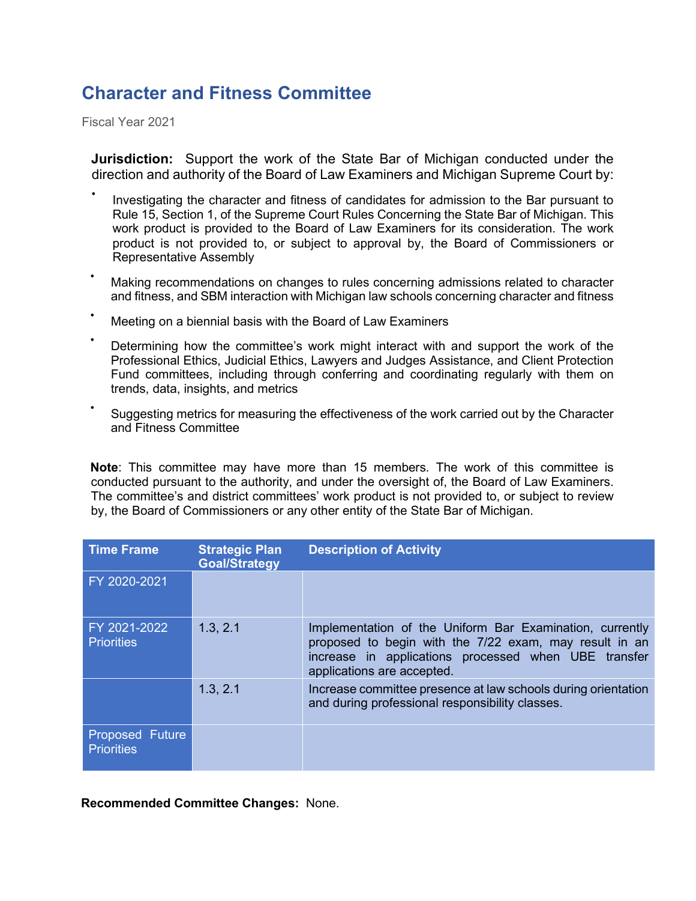## **Character and Fitness Committee**

Fiscal Year 2021

**Jurisdiction:** Support the work of the State Bar of Michigan conducted under the direction and authority of the Board of Law Examiners and Michigan Supreme Court by:

- Investigating the character and fitness of candidates for admission to the Bar pursuant to Rule 15, Section 1, of the Supreme Court Rules Concerning the State Bar of Michigan. This work product is provided to the Board of Law Examiners for its consideration. The work product is not provided to, or subject to approval by, the Board of Commissioners or Representative Assembly
- Making recommendations on changes to rules concerning admissions related to character and fitness, and SBM interaction with Michigan law schools concerning character and fitness
- Meeting on a biennial basis with the Board of Law Examiners
- Determining how the committee's work might interact with and support the work of the Professional Ethics, Judicial Ethics, Lawyers and Judges Assistance, and Client Protection Fund committees, including through conferring and coordinating regularly with them on trends, data, insights, and metrics
- Suggesting metrics for measuring the effectiveness of the work carried out by the Character and Fitness Committee

**Note**: This committee may have more than 15 members. The work of this committee is conducted pursuant to the authority, and under the oversight of, the Board of Law Examiners. The committee's and district committees' work product is not provided to, or subject to review by, the Board of Commissioners or any other entity of the State Bar of Michigan.

| <b>Time Frame</b>                           | <b>Strategic Plan</b><br><b>Goal/Strategy</b> | <b>Description of Activity</b>                                                                                                                                                                           |
|---------------------------------------------|-----------------------------------------------|----------------------------------------------------------------------------------------------------------------------------------------------------------------------------------------------------------|
| FY 2020-2021                                |                                               |                                                                                                                                                                                                          |
| FY 2021-2022<br><b>Priorities</b>           | 1.3, 2.1                                      | Implementation of the Uniform Bar Examination, currently<br>proposed to begin with the 7/22 exam, may result in an<br>increase in applications processed when UBE transfer<br>applications are accepted. |
|                                             | 1.3, 2.1                                      | Increase committee presence at law schools during orientation<br>and during professional responsibility classes.                                                                                         |
| <b>Proposed Future</b><br><b>Priorities</b> |                                               |                                                                                                                                                                                                          |

**Recommended Committee Changes:** None.